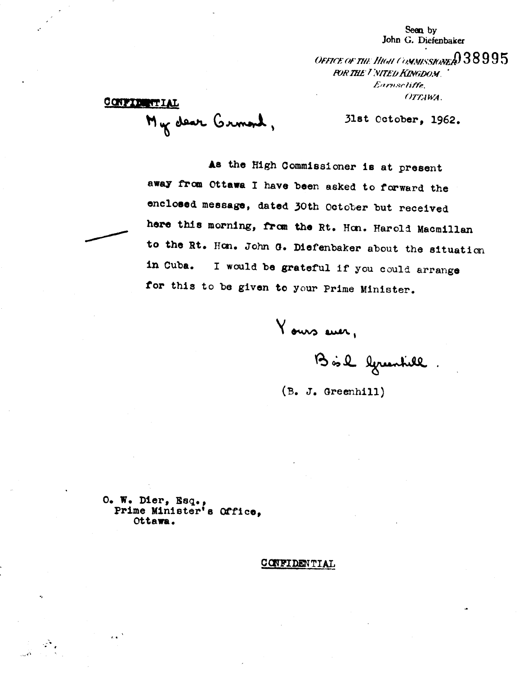Seen by John G. Diefenbaker

OFFICE OF THE HIGH COMMISSIONER 38995 **POR THE TIMITED KINGDOM.** Earnschiffe, OTTAWA.

CONFIDENTIAL My dear Grmond,

31st October, 1962.

As the High Commissioner is at present away from Ottawa I have been asked to forward the enclosed message, dated 30th October but received here this morning, from the Rt. Hon. Harold Macmillan to the Rt. Hon. John G. Diefenbaker about the situation in Cuba. I would be grateful if you could arrange for this to be given to your Prime Minister.

Yours ever,

Bûl lymntill.

 $(B. J. Greenhill)$ 

 $O<sub>•</sub>$  W. Dier, Esq., Prime Minister's Office, Ottawa.

 $\ddot{\phantom{a}}$ 

CONFIDENTIAL